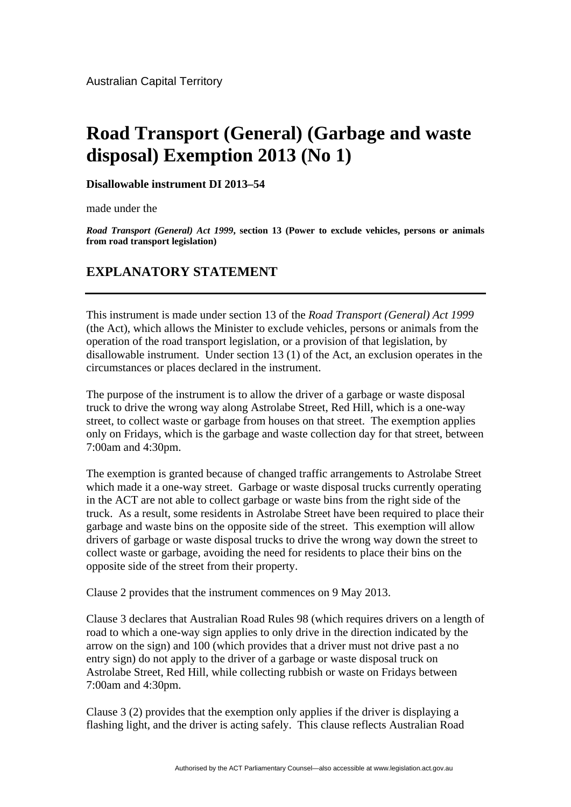## **Road Transport (General) (Garbage and waste disposal) Exemption 2013 (No 1)**

**Disallowable instrument DI 2013–54**

made under the

*Road Transport (General) Act 1999***, section 13 (Power to exclude vehicles, persons or animals from road transport legislation)** 

## **EXPLANATORY STATEMENT**

This instrument is made under section 13 of the *Road Transport (General) Act 1999* (the Act), which allows the Minister to exclude vehicles, persons or animals from the operation of the road transport legislation, or a provision of that legislation, by disallowable instrument. Under section 13 (1) of the Act, an exclusion operates in the circumstances or places declared in the instrument.

The purpose of the instrument is to allow the driver of a garbage or waste disposal truck to drive the wrong way along Astrolabe Street, Red Hill, which is a one-way street, to collect waste or garbage from houses on that street. The exemption applies only on Fridays, which is the garbage and waste collection day for that street, between 7:00am and 4:30pm.

The exemption is granted because of changed traffic arrangements to Astrolabe Street which made it a one-way street. Garbage or waste disposal trucks currently operating in the ACT are not able to collect garbage or waste bins from the right side of the truck. As a result, some residents in Astrolabe Street have been required to place their garbage and waste bins on the opposite side of the street. This exemption will allow drivers of garbage or waste disposal trucks to drive the wrong way down the street to collect waste or garbage, avoiding the need for residents to place their bins on the opposite side of the street from their property.

Clause 2 provides that the instrument commences on 9 May 2013.

Clause 3 declares that Australian Road Rules 98 (which requires drivers on a length of road to which a one-way sign applies to only drive in the direction indicated by the arrow on the sign) and 100 (which provides that a driver must not drive past a no entry sign) do not apply to the driver of a garbage or waste disposal truck on Astrolabe Street, Red Hill, while collecting rubbish or waste on Fridays between 7:00am and 4:30pm.

Clause 3 (2) provides that the exemption only applies if the driver is displaying a flashing light, and the driver is acting safely. This clause reflects Australian Road